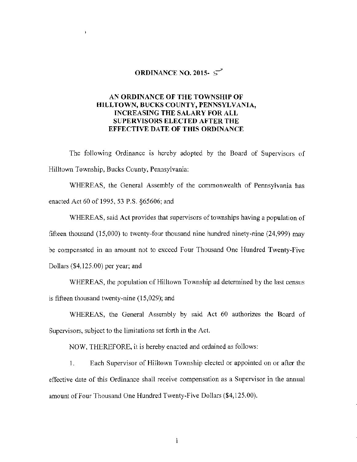## **ORDINANCE NO. 2015-**  $\mathcal{S}^3$

## **AN ORDINANCE OF THE TOWNSHIP OF HILL TOWN, BUCKS COUNTY, PENNSYLVANIA, INCREASING THE SALARY FOR ALL SUPERVISORS ELECTED AFTER THE EFFECTIVE DATE OF THIS ORDINANCE**

The following Ordinance is hereby adopted by the Board of Supervisors of Hilltown Township, Bucks County, Pennsylvania:

WHEREAS, the General Assembly of the commonwealth of Pennsylvania has enacted Act 60 of 1995, 53 P.S. §65606; and

WHEREAS, said Act provides that supervisors of townships having a population of fifteen thousand (15,000) to twenty-four thousand nine hundred ninety-nine (24,999) may be compensated in an amount not to exceed Four Thousand One Hundred Twenty-Five Dollars (\$4,125.00) per year; and

WHEREAS, the population of Hilltown Township ad determined by the last census is fifteen thousand twenty-nine (15,029); and

WHEREAS, the General Assembly by said Act 60 authorizes the Board of Supervisors, subject to the limitations set forth **in the** Act.

NOW, THEREFORE, it is hereby enacted and ordained as follows:

I. Each Supervisor of Hilltown Township elected or appointed on or after the effective date of this Ordinance shall receive compensation as a Supervisor in the annual amount of Four Thousand One Hundred Twenty-Five Dollars (\$4,125.00).

l